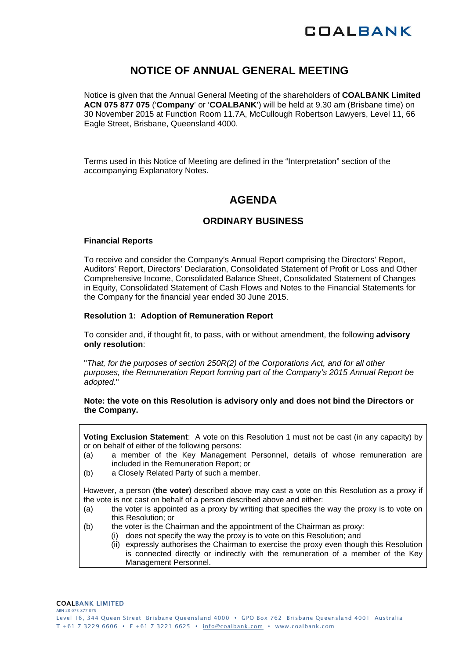

## **NOTICE OF ANNUAL GENERAL MEETING**

Notice is given that the Annual General Meeting of the shareholders of **COALBANK Limited ACN 075 877 075** ('**Company**' or '**COALBANK**') will be held at 9.30 am (Brisbane time) on 30 November 2015 at Function Room 11.7A, McCullough Robertson Lawyers, Level 11, 66 Eagle Street, Brisbane, Queensland 4000.

Terms used in this Notice of Meeting are defined in the "Interpretation" section of the accompanying Explanatory Notes.

## **AGENDA**

## **ORDINARY BUSINESS**

#### **Financial Reports**

To receive and consider the Company's Annual Report comprising the Directors' Report, Auditors' Report, Directors' Declaration, Consolidated Statement of Profit or Loss and Other Comprehensive Income, Consolidated Balance Sheet, Consolidated Statement of Changes in Equity, Consolidated Statement of Cash Flows and Notes to the Financial Statements for the Company for the financial year ended 30 June 2015.

#### **Resolution 1: Adoption of Remuneration Report**

To consider and, if thought fit, to pass, with or without amendment, the following **advisory only resolution**:

"*That, for the purposes of section 250R(2) of the Corporations Act, and for all other purposes, the Remuneration Report forming part of the Company's 2015 Annual Report be adopted.*"

#### **Note: the vote on this Resolution is advisory only and does not bind the Directors or the Company.**

**Voting Exclusion Statement**: A vote on this Resolution 1 must not be cast (in any capacity) by or on behalf of either of the following persons:

- (a) a member of the Key Management Personnel, details of whose remuneration are included in the Remuneration Report; or
- (b) a Closely Related Party of such a member.

However, a person (**the voter**) described above may cast a vote on this Resolution as a proxy if the vote is not cast on behalf of a person described above and either:

- (a) the voter is appointed as a proxy by writing that specifies the way the proxy is to vote on this Resolution; or
- (b) the voter is the Chairman and the appointment of the Chairman as proxy:
	- (i) does not specify the way the proxy is to vote on this Resolution; and
	- (ii) expressly authorises the Chairman to exercise the proxy even though this Resolution is connected directly or indirectly with the remuneration of a member of the Key Management Personnel.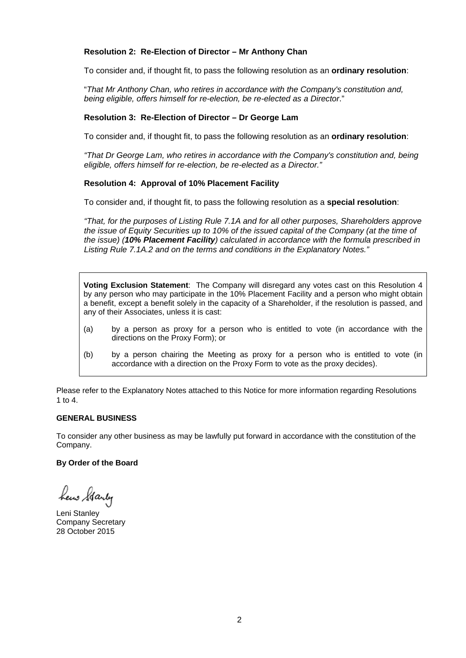### **Resolution 2: Re-Election of Director – Mr Anthony Chan**

To consider and, if thought fit, to pass the following resolution as an **ordinary resolution**:

"*That Mr Anthony Chan, who retires in accordance with the Company's constitution and, being eligible, offers himself for re-election, be re-elected as a Director*."

#### **Resolution 3: Re-Election of Director – Dr George Lam**

To consider and, if thought fit, to pass the following resolution as an **ordinary resolution**:

*"That Dr George Lam, who retires in accordance with the Company's constitution and, being eligible, offers himself for re-election, be re-elected as a Director."* 

#### **Resolution 4: Approval of 10% Placement Facility**

To consider and, if thought fit, to pass the following resolution as a **special resolution**:

*"That, for the purposes of Listing Rule 7.1A and for all other purposes, Shareholders approve the issue of Equity Securities up to 10% of the issued capital of the Company (at the time of the issue) (10% Placement Facility) calculated in accordance with the formula prescribed in Listing Rule 7.1A.2 and on the terms and conditions in the Explanatory Notes."* 

**Voting Exclusion Statement**:The Company will disregard any votes cast on this Resolution 4 by any person who may participate in the 10% Placement Facility and a person who might obtain a benefit, except a benefit solely in the capacity of a Shareholder, if the resolution is passed, and any of their Associates, unless it is cast:

- (a) by a person as proxy for a person who is entitled to vote (in accordance with the directions on the Proxy Form); or
- (b) by a person chairing the Meeting as proxy for a person who is entitled to vote (in accordance with a direction on the Proxy Form to vote as the proxy decides).

Please refer to the Explanatory Notes attached to this Notice for more information regarding Resolutions 1 to  $4$ 

#### **GENERAL BUSINESS**

To consider any other business as may be lawfully put forward in accordance with the constitution of the Company.

#### **By Order of the Board**

hew Starty

Leni Stanley Company Secretary 28 October 2015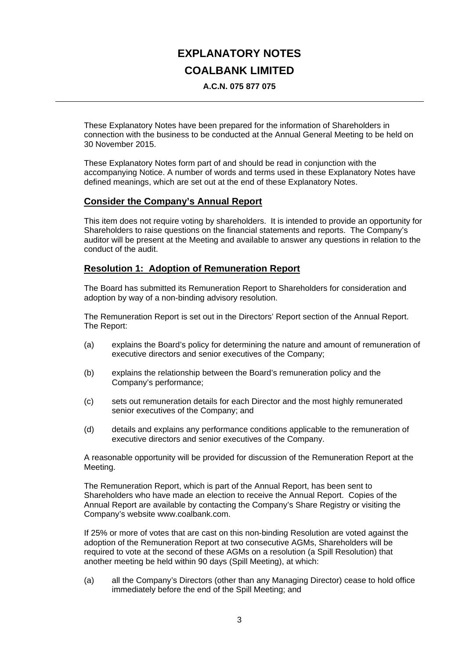# **EXPLANATORY NOTES COALBANK LIMITED**

**A.C.N. 075 877 075** 

These Explanatory Notes have been prepared for the information of Shareholders in connection with the business to be conducted at the Annual General Meeting to be held on 30 November 2015.

These Explanatory Notes form part of and should be read in conjunction with the accompanying Notice. A number of words and terms used in these Explanatory Notes have defined meanings, which are set out at the end of these Explanatory Notes.

## **Consider the Company's Annual Report**

This item does not require voting by shareholders. It is intended to provide an opportunity for Shareholders to raise questions on the financial statements and reports. The Company's auditor will be present at the Meeting and available to answer any questions in relation to the conduct of the audit.

## **Resolution 1: Adoption of Remuneration Report**

The Board has submitted its Remuneration Report to Shareholders for consideration and adoption by way of a non-binding advisory resolution.

The Remuneration Report is set out in the Directors' Report section of the Annual Report. The Report:

- (a) explains the Board's policy for determining the nature and amount of remuneration of executive directors and senior executives of the Company;
- (b) explains the relationship between the Board's remuneration policy and the Company's performance;
- (c) sets out remuneration details for each Director and the most highly remunerated senior executives of the Company; and
- (d) details and explains any performance conditions applicable to the remuneration of executive directors and senior executives of the Company.

A reasonable opportunity will be provided for discussion of the Remuneration Report at the Meeting.

The Remuneration Report, which is part of the Annual Report, has been sent to Shareholders who have made an election to receive the Annual Report. Copies of the Annual Report are available by contacting the Company's Share Registry or visiting the Company's website www.coalbank.com.

If 25% or more of votes that are cast on this non-binding Resolution are voted against the adoption of the Remuneration Report at two consecutive AGMs, Shareholders will be required to vote at the second of these AGMs on a resolution (a Spill Resolution) that another meeting be held within 90 days (Spill Meeting), at which:

(a) all the Company's Directors (other than any Managing Director) cease to hold office immediately before the end of the Spill Meeting; and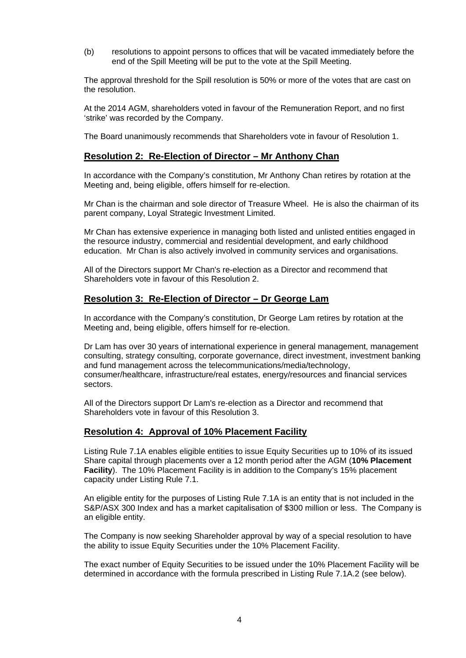(b) resolutions to appoint persons to offices that will be vacated immediately before the end of the Spill Meeting will be put to the vote at the Spill Meeting.

The approval threshold for the Spill resolution is 50% or more of the votes that are cast on the resolution.

At the 2014 AGM, shareholders voted in favour of the Remuneration Report, and no first 'strike' was recorded by the Company.

The Board unanimously recommends that Shareholders vote in favour of Resolution 1.

## **Resolution 2: Re-Election of Director – Mr Anthony Chan**

In accordance with the Company's constitution, Mr Anthony Chan retires by rotation at the Meeting and, being eligible, offers himself for re-election.

Mr Chan is the chairman and sole director of Treasure Wheel. He is also the chairman of its parent company, Loyal Strategic Investment Limited.

Mr Chan has extensive experience in managing both listed and unlisted entities engaged in the resource industry, commercial and residential development, and early childhood education. Mr Chan is also actively involved in community services and organisations.

All of the Directors support Mr Chan's re-election as a Director and recommend that Shareholders vote in favour of this Resolution 2.

### **Resolution 3: Re-Election of Director – Dr George Lam**

In accordance with the Company's constitution, Dr George Lam retires by rotation at the Meeting and, being eligible, offers himself for re-election.

Dr Lam has over 30 years of international experience in general management, management consulting, strategy consulting, corporate governance, direct investment, investment banking and fund management across the telecommunications/media/technology, consumer/healthcare, infrastructure/real estates, energy/resources and financial services sectors.

All of the Directors support Dr Lam's re-election as a Director and recommend that Shareholders vote in favour of this Resolution 3.

#### **Resolution 4: Approval of 10% Placement Facility**

Listing Rule 7.1A enables eligible entities to issue Equity Securities up to 10% of its issued Share capital through placements over a 12 month period after the AGM (**10% Placement Facility**). The 10% Placement Facility is in addition to the Company's 15% placement capacity under Listing Rule 7.1.

An eligible entity for the purposes of Listing Rule 7.1A is an entity that is not included in the S&P/ASX 300 Index and has a market capitalisation of \$300 million or less. The Company is an eligible entity.

The Company is now seeking Shareholder approval by way of a special resolution to have the ability to issue Equity Securities under the 10% Placement Facility.

The exact number of Equity Securities to be issued under the 10% Placement Facility will be determined in accordance with the formula prescribed in Listing Rule 7.1A.2 (see below).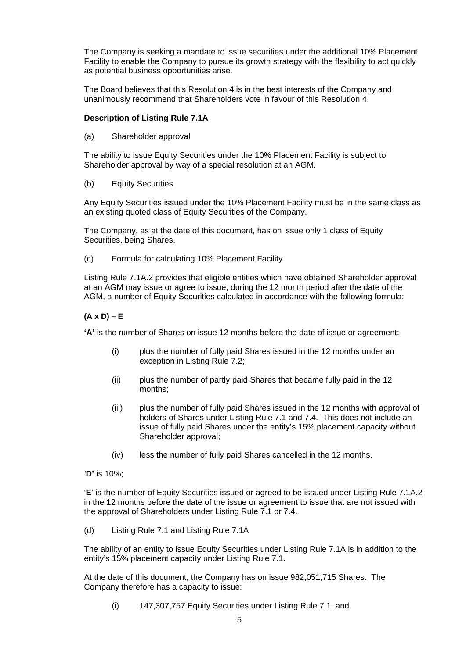The Company is seeking a mandate to issue securities under the additional 10% Placement Facility to enable the Company to pursue its growth strategy with the flexibility to act quickly as potential business opportunities arise.

The Board believes that this Resolution 4 is in the best interests of the Company and unanimously recommend that Shareholders vote in favour of this Resolution 4.

#### **Description of Listing Rule 7.1A**

(a) Shareholder approval

The ability to issue Equity Securities under the 10% Placement Facility is subject to Shareholder approval by way of a special resolution at an AGM.

(b) Equity Securities

Any Equity Securities issued under the 10% Placement Facility must be in the same class as an existing quoted class of Equity Securities of the Company.

The Company, as at the date of this document, has on issue only 1 class of Equity Securities, being Shares.

(c) Formula for calculating 10% Placement Facility

Listing Rule 7.1A.2 provides that eligible entities which have obtained Shareholder approval at an AGM may issue or agree to issue, during the 12 month period after the date of the AGM, a number of Equity Securities calculated in accordance with the following formula:

### **(A x D) – E**

**'A'** is the number of Shares on issue 12 months before the date of issue or agreement:

- (i) plus the number of fully paid Shares issued in the 12 months under an exception in Listing Rule 7.2;
- (ii) plus the number of partly paid Shares that became fully paid in the 12 months;
- (iii) plus the number of fully paid Shares issued in the 12 months with approval of holders of Shares under Listing Rule 7.1 and 7.4. This does not include an issue of fully paid Shares under the entity's 15% placement capacity without Shareholder approval;
- (iv) less the number of fully paid Shares cancelled in the 12 months.

*'***D'** is 10%;

'**E**' is the number of Equity Securities issued or agreed to be issued under Listing Rule 7.1A.2 in the 12 months before the date of the issue or agreement to issue that are not issued with the approval of Shareholders under Listing Rule 7.1 or 7.4.

(d) Listing Rule 7.1 and Listing Rule 7.1A

The ability of an entity to issue Equity Securities under Listing Rule 7.1A is in addition to the entity's 15% placement capacity under Listing Rule 7.1.

At the date of this document, the Company has on issue 982,051,715 Shares. The Company therefore has a capacity to issue:

(i) 147,307,757 Equity Securities under Listing Rule 7.1; and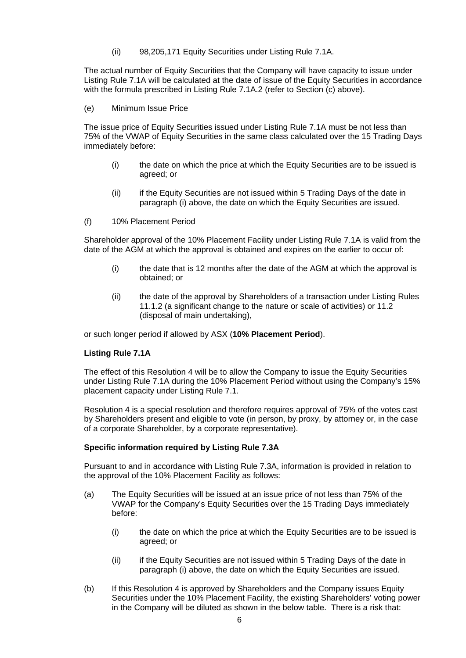(ii) 98,205,171 Equity Securities under Listing Rule 7.1A.

The actual number of Equity Securities that the Company will have capacity to issue under Listing Rule 7.1A will be calculated at the date of issue of the Equity Securities in accordance with the formula prescribed in Listing Rule 7.1A.2 (refer to Section (c) above).

(e) Minimum Issue Price

The issue price of Equity Securities issued under Listing Rule 7.1A must be not less than 75% of the VWAP of Equity Securities in the same class calculated over the 15 Trading Days immediately before:

- (i) the date on which the price at which the Equity Securities are to be issued is agreed; or
- (ii) if the Equity Securities are not issued within 5 Trading Days of the date in paragraph (i) above, the date on which the Equity Securities are issued.
- (f) 10% Placement Period

Shareholder approval of the 10% Placement Facility under Listing Rule 7.1A is valid from the date of the AGM at which the approval is obtained and expires on the earlier to occur of:

- (i) the date that is 12 months after the date of the AGM at which the approval is obtained; or
- (ii) the date of the approval by Shareholders of a transaction under Listing Rules 11.1.2 (a significant change to the nature or scale of activities) or 11.2 (disposal of main undertaking),

or such longer period if allowed by ASX (**10% Placement Period**).

## **Listing Rule 7.1A**

The effect of this Resolution 4 will be to allow the Company to issue the Equity Securities under Listing Rule 7.1A during the 10% Placement Period without using the Company's 15% placement capacity under Listing Rule 7.1.

Resolution 4 is a special resolution and therefore requires approval of 75% of the votes cast by Shareholders present and eligible to vote (in person, by proxy, by attorney or, in the case of a corporate Shareholder, by a corporate representative).

#### **Specific information required by Listing Rule 7.3A**

Pursuant to and in accordance with Listing Rule 7.3A, information is provided in relation to the approval of the 10% Placement Facility as follows:

- (a) The Equity Securities will be issued at an issue price of not less than 75% of the VWAP for the Company's Equity Securities over the 15 Trading Days immediately before:
	- (i) the date on which the price at which the Equity Securities are to be issued is agreed; or
	- (ii) if the Equity Securities are not issued within 5 Trading Days of the date in paragraph (i) above, the date on which the Equity Securities are issued.
- (b) If this Resolution 4 is approved by Shareholders and the Company issues Equity Securities under the 10% Placement Facility, the existing Shareholders' voting power in the Company will be diluted as shown in the below table. There is a risk that: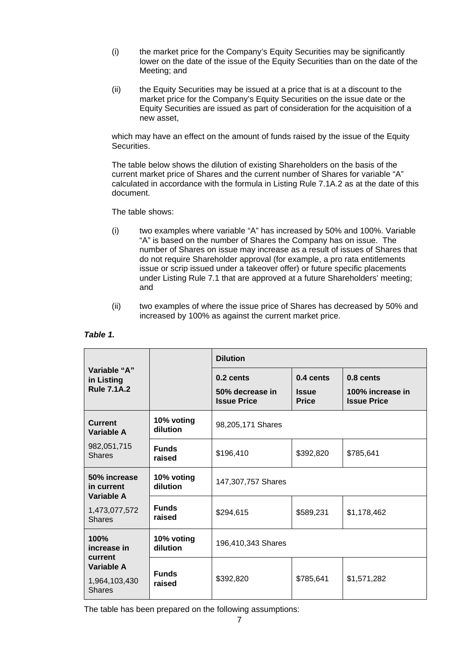- (i) the market price for the Company's Equity Securities may be significantly lower on the date of the issue of the Equity Securities than on the date of the Meeting; and
- (ii) the Equity Securities may be issued at a price that is at a discount to the market price for the Company's Equity Securities on the issue date or the Equity Securities are issued as part of consideration for the acquisition of a new asset,

which may have an effect on the amount of funds raised by the issue of the Equity Securities.

The table below shows the dilution of existing Shareholders on the basis of the current market price of Shares and the current number of Shares for variable "A" calculated in accordance with the formula in Listing Rule 7.1A.2 as at the date of this document.

The table shows:

- (i) two examples where variable "A" has increased by 50% and 100%. Variable "A" is based on the number of Shares the Company has on issue. The number of Shares on issue may increase as a result of issues of Shares that do not require Shareholder approval (for example, a pro rata entitlements issue or scrip issued under a takeover offer) or future specific placements under Listing Rule 7.1 that are approved at a future Shareholders' meeting; and
- (ii) two examples of where the issue price of Shares has decreased by 50% and increased by 100% as against the current market price.

|                                                  |                        | <b>Dilution</b>                                      |                                                     |                                                     |  |  |
|--------------------------------------------------|------------------------|------------------------------------------------------|-----------------------------------------------------|-----------------------------------------------------|--|--|
| Variable "A"<br>in Listing<br><b>Rule 7.1A.2</b> |                        | $0.2$ cents<br>50% decrease in<br><b>Issue Price</b> | $0.4 \text{ cents}$<br><b>Issue</b><br><b>Price</b> | 0.8 cents<br>100% increase in<br><b>Issue Price</b> |  |  |
| <b>Current</b><br><b>Variable A</b>              | 10% voting<br>dilution | 98,205,171 Shares                                    |                                                     |                                                     |  |  |
| 982,051,715<br><b>Shares</b>                     | <b>Funds</b><br>raised | \$196,410                                            | \$392,820                                           | \$785,641                                           |  |  |
| 50% increase<br>in current<br>Variable A         | 10% voting<br>dilution | 147,307,757 Shares                                   |                                                     |                                                     |  |  |
| 1,473,077,572<br><b>Shares</b>                   | <b>Funds</b><br>raised | \$294,615                                            | \$589,231                                           | \$1,178,462                                         |  |  |
| 100%<br>increase in<br>current                   | 10% voting<br>dilution | 196,410,343 Shares                                   |                                                     |                                                     |  |  |
| Variable A<br>1,964,103,430<br><b>Shares</b>     | <b>Funds</b><br>raised | \$392,820                                            | \$785,641                                           | \$1,571,282                                         |  |  |

#### *Table 1.*

The table has been prepared on the following assumptions: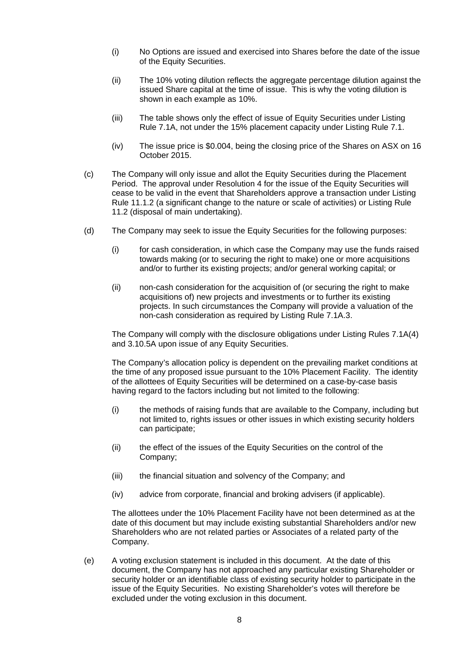- (i) No Options are issued and exercised into Shares before the date of the issue of the Equity Securities.
- (ii) The 10% voting dilution reflects the aggregate percentage dilution against the issued Share capital at the time of issue. This is why the voting dilution is shown in each example as 10%.
- (iii) The table shows only the effect of issue of Equity Securities under Listing Rule 7.1A, not under the 15% placement capacity under Listing Rule 7.1.
- (iv) The issue price is \$0.004, being the closing price of the Shares on ASX on 16 October 2015.
- (c) The Company will only issue and allot the Equity Securities during the Placement Period. The approval under Resolution 4 for the issue of the Equity Securities will cease to be valid in the event that Shareholders approve a transaction under Listing Rule 11.1.2 (a significant change to the nature or scale of activities) or Listing Rule 11.2 (disposal of main undertaking).
- (d) The Company may seek to issue the Equity Securities for the following purposes:
	- (i) for cash consideration, in which case the Company may use the funds raised towards making (or to securing the right to make) one or more acquisitions and/or to further its existing projects; and/or general working capital; or
	- (ii) non-cash consideration for the acquisition of (or securing the right to make acquisitions of) new projects and investments or to further its existing projects. In such circumstances the Company will provide a valuation of the non-cash consideration as required by Listing Rule 7.1A.3.

The Company will comply with the disclosure obligations under Listing Rules 7.1A(4) and 3.10.5A upon issue of any Equity Securities.

The Company's allocation policy is dependent on the prevailing market conditions at the time of any proposed issue pursuant to the 10% Placement Facility. The identity of the allottees of Equity Securities will be determined on a case-by-case basis having regard to the factors including but not limited to the following:

- (i) the methods of raising funds that are available to the Company, including but not limited to, rights issues or other issues in which existing security holders can participate;
- (ii) the effect of the issues of the Equity Securities on the control of the Company;
- (iii) the financial situation and solvency of the Company; and
- (iv) advice from corporate, financial and broking advisers (if applicable).

The allottees under the 10% Placement Facility have not been determined as at the date of this document but may include existing substantial Shareholders and/or new Shareholders who are not related parties or Associates of a related party of the Company.

(e) A voting exclusion statement is included in this document. At the date of this document, the Company has not approached any particular existing Shareholder or security holder or an identifiable class of existing security holder to participate in the issue of the Equity Securities. No existing Shareholder's votes will therefore be excluded under the voting exclusion in this document.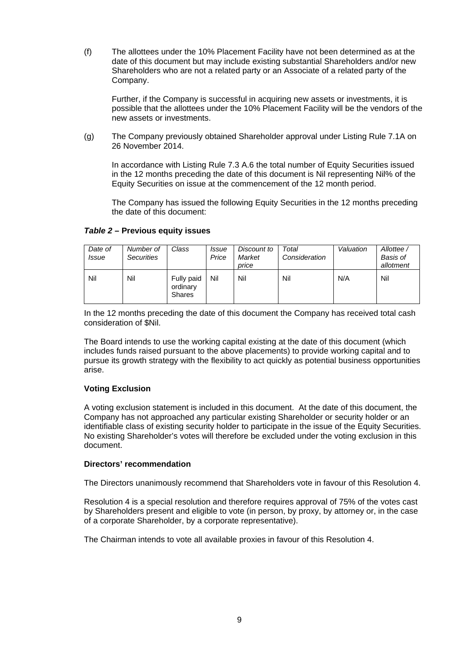(f) The allottees under the 10% Placement Facility have not been determined as at the date of this document but may include existing substantial Shareholders and/or new Shareholders who are not a related party or an Associate of a related party of the Company.

Further, if the Company is successful in acquiring new assets or investments, it is possible that the allottees under the 10% Placement Facility will be the vendors of the new assets or investments.

(g) The Company previously obtained Shareholder approval under Listing Rule 7.1A on 26 November 2014.

In accordance with Listing Rule 7.3 A.6 the total number of Equity Securities issued in the 12 months preceding the date of this document is Nil representing Nil% of the Equity Securities on issue at the commencement of the 12 month period.

The Company has issued the following Equity Securities in the 12 months preceding the date of this document:

| Date of | Number of         | Class                  | <i>Issue</i> | Discount to | Total         | Valuation | Allottee / |
|---------|-------------------|------------------------|--------------|-------------|---------------|-----------|------------|
| Issue   | <b>Securities</b> |                        | Price        | Market      | Consideration |           | Basis of   |
|         |                   |                        |              | price       |               |           | allotment  |
| Nil     | Nil               | Fully paid<br>ordinary | Nil          | Nil         | Nil           | N/A       | Nil        |

### *Table 2* **– Previous equity issues**

Shares

In the 12 months preceding the date of this document the Company has received total cash consideration of \$Nil.

The Board intends to use the working capital existing at the date of this document (which includes funds raised pursuant to the above placements) to provide working capital and to pursue its growth strategy with the flexibility to act quickly as potential business opportunities arise.

#### **Voting Exclusion**

A voting exclusion statement is included in this document. At the date of this document, the Company has not approached any particular existing Shareholder or security holder or an identifiable class of existing security holder to participate in the issue of the Equity Securities. No existing Shareholder's votes will therefore be excluded under the voting exclusion in this document.

#### **Directors' recommendation**

The Directors unanimously recommend that Shareholders vote in favour of this Resolution 4.

Resolution 4 is a special resolution and therefore requires approval of 75% of the votes cast by Shareholders present and eligible to vote (in person, by proxy, by attorney or, in the case of a corporate Shareholder, by a corporate representative).

The Chairman intends to vote all available proxies in favour of this Resolution 4.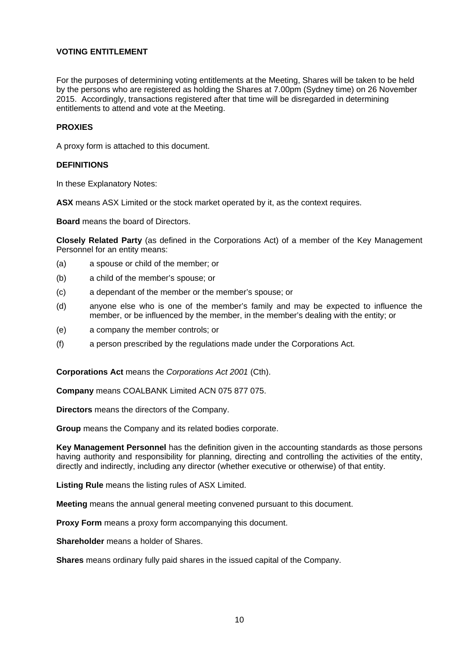## **VOTING ENTITI EMENT**

For the purposes of determining voting entitlements at the Meeting, Shares will be taken to be held by the persons who are registered as holding the Shares at 7.00pm (Sydney time) on 26 November 2015. Accordingly, transactions registered after that time will be disregarded in determining entitlements to attend and vote at the Meeting.

#### **PROXIES**

A proxy form is attached to this document.

#### **DEFINITIONS**

In these Explanatory Notes:

**ASX** means ASX Limited or the stock market operated by it, as the context requires.

**Board** means the board of Directors.

**Closely Related Party** (as defined in the Corporations Act) of a member of the Key Management Personnel for an entity means:

- (a) a spouse or child of the member; or
- (b) a child of the member's spouse; or
- (c) a dependant of the member or the member's spouse; or
- (d) anyone else who is one of the member's family and may be expected to influence the member, or be influenced by the member, in the member's dealing with the entity; or
- (e) a company the member controls; or
- (f) a person prescribed by the regulations made under the Corporations Act.

**Corporations Act** means the *Corporations Act 2001* (Cth).

**Company** means COALBANK Limited ACN 075 877 075.

**Directors** means the directors of the Company.

**Group** means the Company and its related bodies corporate.

**Key Management Personnel** has the definition given in the accounting standards as those persons having authority and responsibility for planning, directing and controlling the activities of the entity, directly and indirectly, including any director (whether executive or otherwise) of that entity.

**Listing Rule** means the listing rules of ASX Limited.

**Meeting** means the annual general meeting convened pursuant to this document.

**Proxy Form** means a proxy form accompanying this document.

**Shareholder** means a holder of Shares.

**Shares** means ordinary fully paid shares in the issued capital of the Company.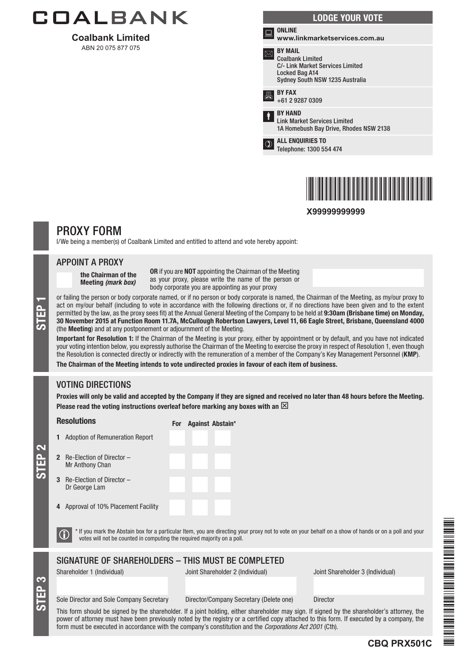

**Coalbank Limited**  ABN 20 075 877 075

| <b>LODGE YOUR VOTE</b> |                                                                                                                                    |  |  |  |
|------------------------|------------------------------------------------------------------------------------------------------------------------------------|--|--|--|
| ▩                      | <b>ONLINE</b><br>www.linkmarketservices.com.au                                                                                     |  |  |  |
|                        | <b>BY MAIL</b><br><b>Coalbank Limited</b><br>C/- Link Market Services Limited<br>Locked Bag A14<br>Sydney South NSW 1235 Australia |  |  |  |
| 昌                      | <b>BY FAX</b><br>+61 2 9287 0309                                                                                                   |  |  |  |
| ŧ                      | <b>BY HAND</b><br><b>Link Market Services Limited</b><br>1A Homebush Bay Drive, Rhodes NSW 2138                                    |  |  |  |
| $^\circledR$           | <b>ALL ENQUIRIES TO</b><br>Telephone: 1300 554 474                                                                                 |  |  |  |
|                        |                                                                                                                                    |  |  |  |



**X99999999999**

## PROXY FORM

I/We being a member(s) of Coalbank Limited and entitled to attend and vote hereby appoint:

#### APPOINT A PROXY

the Chairman of the Meeting *(mark box)*

OR if you are NOT appointing the Chairman of the Meeting as your proxy, please write the name of the person or body corporate you are appointing as your proxy

or failing the person or body corporate named, or if no person or body corporate is named, the Chairman of the Meeting, as my/our proxy to<br>act on my/our behalf (including to vote in accordance with the following directions act on my/our behalf (including to vote in accordance with the following directions or, if no directions have been given and to the extent permitted by the law, as the proxy sees fit) at the Annual General Meeting of the Company to be held at 9:30am (Brisbane time) on Monday, (the Meeting) and at any postponement or adjournment of the Meeting.

Important for Resolution 1: If the Chairman of the Meeting is your proxy, either by appointment or by default, and you have not indicated your voting intention below, you expressly authorise the Chairman of the Meeting to exercise the proxy in respect of Resolution 1, even though the Resolution is connected directly or indirectly with the remuneration of a member of the Company's Key Management Personnel (KMP).

The Chairman of the Meeting intends to vote undirected proxies in favour of each item of business.

## VOTING DIRECTIONS

Proxies will only be valid and accepted by the Company if they are signed and received no later than 48 hours before the Meeting. Please read the voting instructions overleaf before marking any boxes with an  $\boxtimes$ 

**Resolutions** 

For Against Abstain\*

STEP 2 2 Re-Election of Director – Mr Anthony Chan

STEP 3

- 3 Re-Election of Director Dr George Lam
- 4 Approval of 10% Placement Facility

1 Adoption of Remuneration Report

 $\bigcirc$  \* If you mark the Abstain box for a particular Item, you are directing your proxy not to vote on your behalf on a show of hands or on a poll and your votes will not be counted in computing the required majority on a

## SIGNATURE OF SHAREHOLDERS – THIS MUST BE COMPLETED

Shareholder 1 (Individual) Joint Shareholder 2 (Individual) Joint Shareholder 3 (Individual)

#### Sole Director and Sole Company Secretary Director/Company Secretary (Delete one) Director

This form should be signed by the shareholder. If a joint holding, either shareholder may sign. If signed by the shareholder's attorney, the power of attorney must have been previously noted by the registry or a certified copy attached to this form. If executed by a company, the form must be executed in accordance with the company's constitution and the *Corporations Act 2001* (Cth).



**CBQ PRX501C**